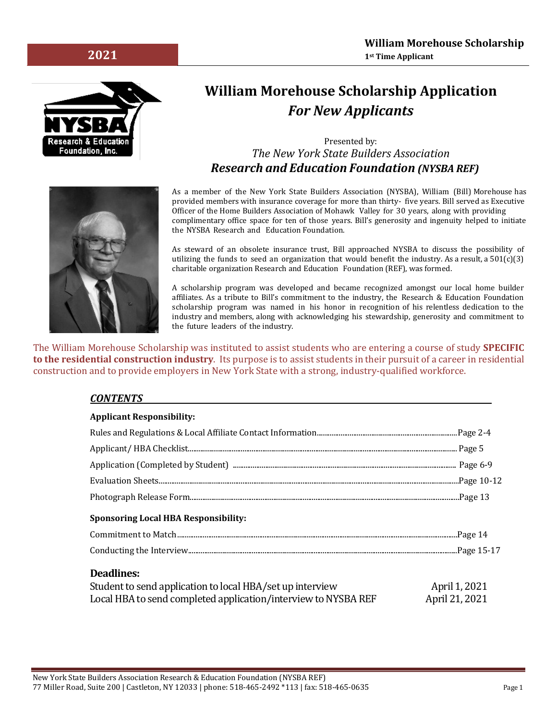

# **William Morehouse Scholarship Application** *For New Applicants*

## Presented by: *The New York State Builders Association Research and Education Foundation (NYSBA REF)*



As a member of the New York State Builders Association (NYSBA), William (Bill) Morehouse has provided members with insurance coverage for more than thirty- five years. Bill served as Executive Officer of the Home Builders Association of Mohawk Valley for 30 years, along with providing complimentary office space for ten of those years. Bill's generosity and ingenuity helped to initiate the NYSBA Research and Education Foundation.

As steward of an obsolete insurance trust, Bill approached NYSBA to discuss the possibility of utilizing the funds to seed an organization that would benefit the industry. As a result, a  $501(c)(3)$ charitable organization Research and Education Foundation (REF), was formed.

A scholarship program was developed and became recognized amongst our local home builder affiliates. As a tribute to Bill's commitment to the industry, the Research & Education Foundation scholarship program was named in his honor in recognition of his relentless dedication to the industry and members, along with acknowledging his stewardship, generosity and commitment to the future leaders of the industry.

The William Morehouse Scholarship was instituted to assist students who are entering a course of study **SPECIFIC to the residential construction industry**. Its purpose is to assist students in their pursuit of a career in residential construction and to provide employers in New York State with a strong, industry-qualified workforce.

#### *CONTENTS*

| <b>Applicant Responsibility:</b>                                                                                                                 |                                 |
|--------------------------------------------------------------------------------------------------------------------------------------------------|---------------------------------|
|                                                                                                                                                  |                                 |
|                                                                                                                                                  |                                 |
|                                                                                                                                                  |                                 |
|                                                                                                                                                  |                                 |
|                                                                                                                                                  |                                 |
| <b>Sponsoring Local HBA Responsibility:</b>                                                                                                      |                                 |
|                                                                                                                                                  |                                 |
|                                                                                                                                                  |                                 |
| <b>Deadlines:</b><br>Student to send application to local HBA/set up interview<br>Local HBA to send completed application/interview to NYSBA REF | April 1, 2021<br>April 21, 2021 |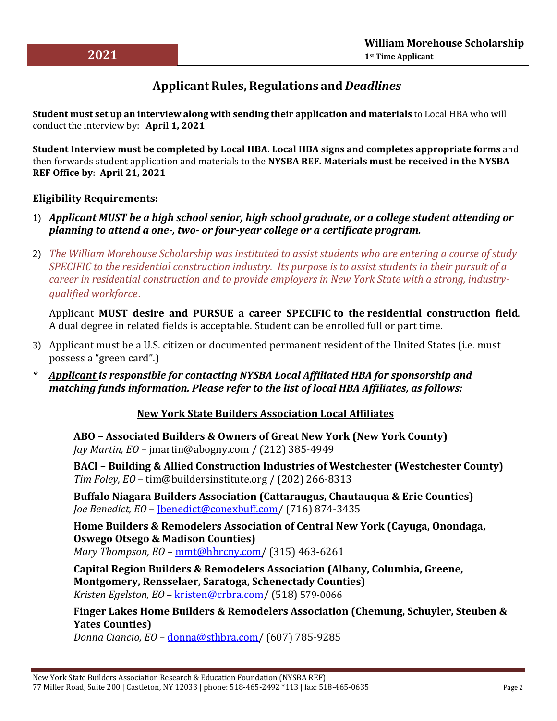# **ApplicantRules, Regulations and** *Deadlines*

**Student must set up an interview along with sending their application and materials** to Local HBA who will conduct the interview by: **April 1, 2021**

**Student Interview must be completed by Local HBA. Local HBA signs and completes appropriate forms** and then forwards student application and materials to the **NYSBA REF. Materials must be received in the NYSBA REF Office by**: **April 21, 2021**

## **Eligibility Requirements:**

- 1) *Applicant MUST be a high school senior, high school graduate, or a college student attending or planning to attend a one‐, two‐ or four‐year college or a certificate program.*
- 2) *The William Morehouse Scholarship was instituted to assist students who are entering a course of study SPECIFIC to the residential construction industry. Its purpose is to assist students in their pursuit of a career in residential construction and to provide employers in New York State with a strong, industryqualified workforce*.

Applicant **MUST desire and PURSUE a career SPECIFIC to the residential construction field**. A dual degree in related fields is acceptable. Student can be enrolled full or part time.

- 3) Applicant must be a U.S. citizen or documented permanent resident of the United States (i.e. must possess a "green card".)
- *\* Applicant is responsible for contacting NYSBA Local Affiliated HBA for sponsorship and matching funds information. Please refer to the list of local HBA Affiliates, as follows:*

### **New York State Builders Association Local Affiliates**

**ABO – Associated Builders & Owners of Great New York (New York County)** *Jay Martin, EO* – jmartin@abogny.com / (212) 385‐4949

**BACI – Building & Allied Construction Industries of Westchester (Westchester County)** *Tim Foley, EO* – tim@buildersinstitute.org / (202) 266‐8313

**Buffalo Niagara Builders Association (Cattaraugus, Chautauqua & Erie Counties)** *Joe Benedict, EO* – [Jbenedict@conexbuff.com/](mailto:Jbenedict@conexbuff.com) (716) 874-3435

**Home Builders & Remodelers Association of Central New York (Cayuga, Onondaga, Oswego Otsego & Madison Counties)** *Mary Thompson, EO* – [mmt@hbrcny.com/](mailto:mmt@hbrcny.com) (315) 463‐6261

**Capital Region Builders & Remodelers Association (Albany, Columbia, Greene, Montgomery, Rensselaer, Saratoga, Schenectady Counties)** *Kristen Egelston, EO* – [kristen@crbra.com/](mailto:kristen@crbra.com) (518) 579-0066

**Finger Lakes Home Builders & Remodelers Association (Chemung, Schuyler, Steuben & Yates Counties)**

*Donna Ciancio, EO* – [donna@sthbra.com/](mailto:donna@sthbra.com) (607) 785‐9285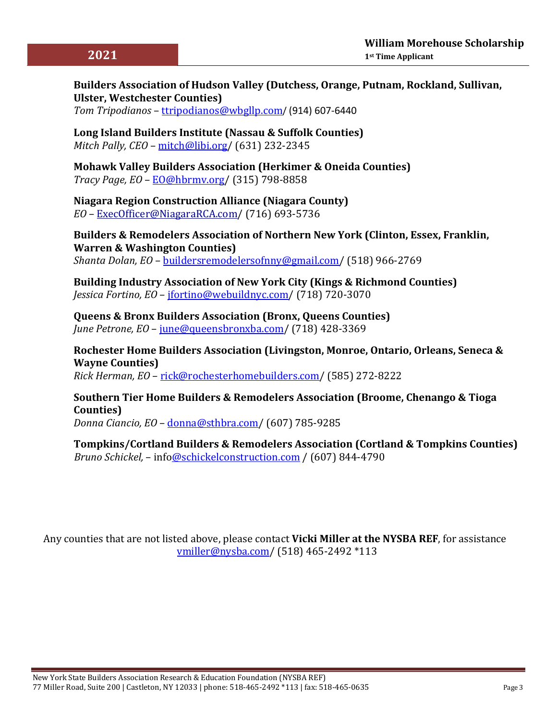## **Builders Association of Hudson Valley (Dutchess, Orange, Putnam, Rockland, Sullivan, Ulster, Westchester Counties)**

*Tom Tripodianos* – [ttripodianos@wbgllp.com](mailto:ttripodianos@wbgllp.com)/ (914) 607-6440

**Long Island Builders Institute (Nassau & Suffolk Counties)** *Mitch Pally, CEO* – [mitch@libi.org/](mailto:mitch@libi.org) (631) 232‐2345

**Mohawk Valley Builders Association (Herkimer & Oneida Counties)** *Tracy Page, EO* – [EO@hbrmv.org/](mailto:EO@hbrmv.org) (315) 798‐8858

**Niagara Region Construction Alliance (Niagara County)** *EO* – [ExecOfficer@NiagaraRCA.com/](mailto:execofficer@niagaraRCA.com) (716) 693‐5736

**Builders & Remodelers Association of Northern New York (Clinton, Essex, Franklin, Warren & Washington Counties)** *Shanta Dolan, EO* – [buildersremodelersofnny@gmail.com/](mailto:buildersremodelersofnny@gmail.com) (518) 966-2769

**Building Industry Association of New York City (Kings & Richmond Counties)** *Jessica Fortino, EO* – [jfortino@webuildnyc.com/](mailto:jfortino@webuildnyc.com) (718) 720‐3070

**Queens & Bronx Builders Association (Bronx, Queens Counties)** *June Petrone, EO* – [june@queensbronxba.com/](mailto:june@queensbronxba.com) (718) 428‐3369

**Rochester Home Builders Association (Livingston, Monroe, Ontario, Orleans, Seneca & Wayne Counties)**

*Rick Herman, EO* – [rick@rochesterhomebuilders.com/](mailto:rick@rochesterhomebuilders.com) (585) 272‐8222

### **Southern Tier Home Builders & Remodelers Association (Broome, Chenango & Tioga Counties)**

*Donna Ciancio, EO* – [donna@sthbra.com/](mailto:donna@sthbra.com) (607) 785‐9285

**Tompkins/Cortland Builders & Remodelers Association (Cortland & Tompkins Counties)** *Bruno Schickel,* – inf[o@schickelconstruction.com](mailto:brooke@cayugacountryhomes.com) / (607) 844-4790

Any counties that are not listed above, please contact **Vicki Miller at the NYSBA REF**, for assistance [vmiller@nysba.com/](mailto:vmiller@nysba.com) (518) 465‐2492 \*113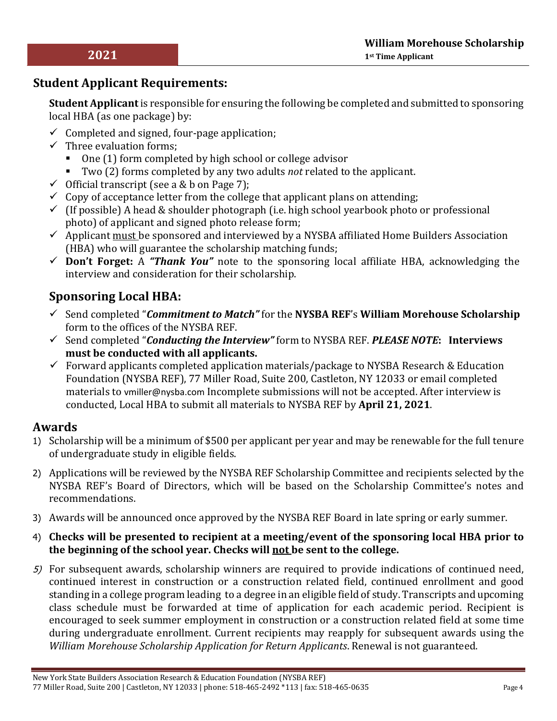# **Student Applicant Requirements:**

**Student Applicant** is responsible for ensuring the following be completed and submitted to sponsoring local HBA (as one package) by:

- $\checkmark$  Completed and signed, four-page application;
- $\checkmark$  Three evaluation forms;
	- One (1) form completed by high school or college advisor
	- Two (2) forms completed by any two adults *not* related to the applicant.
- $\checkmark$  Official transcript (see a & b on Page 7);
- $\checkmark$  Copy of acceptance letter from the college that applicant plans on attending;
- $\checkmark$  (If possible) A head & shoulder photograph (i.e. high school yearbook photo or professional photo) of applicant and signed photo release form;
- $\checkmark$  Applicant must be sponsored and interviewed by a NYSBA affiliated Home Builders Association (HBA) who will guarantee the scholarship matching funds;
- **Don't Forget:** A *"Thank You"* note to the sponsoring local affiliate HBA, acknowledging the interview and consideration for their scholarship.

# **Sponsoring Local HBA:**

- Send completed "*Commitment to Match"* for the **NYSBA REF**'s **William Morehouse Scholarship** form to the offices of the NYSBA REF.
- Send completed "*Conducting the Interview"* form to NYSBA REF. *PLEASE NOTE***: Interviews must be conducted with all applicants.**
- $\checkmark$  Forward applicants completed application materials/package to NYSBA Research & Education Foundation (NYSBA REF), 77 Miller Road, Suite 200, Castleton, NY 12033 or email completed materials to vmiller@nysba.com Incomplete submissions will not be accepted. After interview is conducted, Local HBA to submit all materials to NYSBA REF by **April 21, 2021**.

# **Awards**

- 1) Scholarship will be a minimum of \$500 per applicant per year and may be renewable for the full tenure of undergraduate study in eligible fields.
- 2) Applications will be reviewed by the NYSBA REF Scholarship Committee and recipients selected by the NYSBA REF's Board of Directors, which will be based on the Scholarship Committee's notes and recommendations.
- 3) Awards will be announced once approved by the NYSBA REF Board in late spring or early summer.
- 4) **Checks will be presented to recipient at a meeting/event of the sponsoring local HBA prior to the beginning of the school year. Checks will not be sent to the college.**
- 5) For subsequent awards, scholarship winners are required to provide indications of continued need, continued interest in construction or a construction related field, continued enrollment and good standing in a college program leading to a degree in an eligible field of study. Transcripts and upcoming class schedule must be forwarded at time of application for each academic period. Recipient is encouraged to seek summer employment in construction or a construction related field at some time during undergraduate enrollment. Current recipients may reapply for subsequent awards using the *William Morehouse Scholarship Application for Return Applicants*. Renewal is not guaranteed.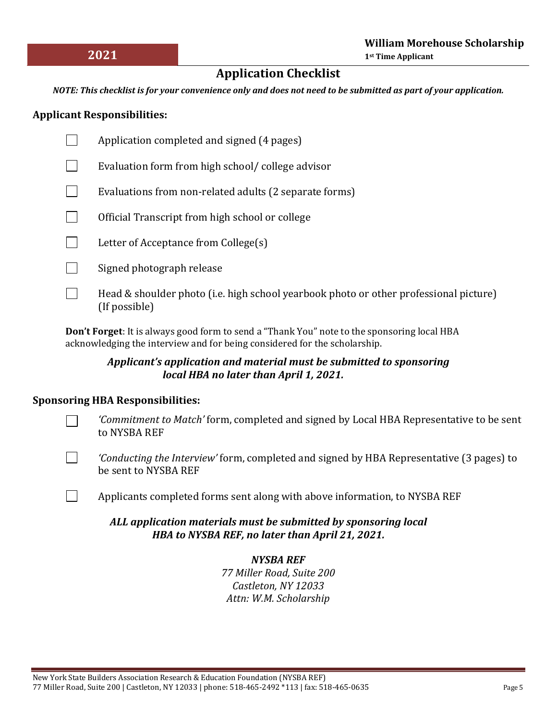# **Application Checklist**

*NOTE: This checklist is for your convenience only and does not need to be submitted as part of your application.*

### **Applicant Responsibilities:**

- Application completed and signed (4 pages)  $\Box$
- Evaluation form from high school/ college advisor
- $\Box$ Evaluations from non‐related adults (2 separate forms)
- $\Box$ Official Transcript from high school or college
- $\Box$ Letter of Acceptance from College(s)
- $\mathcal{L}$ Signed photograph release
- $\Box$ Head & shoulder photo (i.e. high school yearbook photo or other professional picture) (If possible)

**Don't Forget**: It is always good form to send a "Thank You" note to the sponsoring local HBA acknowledging the interview and for being considered for the scholarship.

### *Applicant's application and material must be submitted to sponsoring local HBA no later than April 1, 2021.*

### **Sponsoring HBA Responsibilities:**

- *'Commitment to Match'* form, completed and signed by Local HBA Representative to be sent to NYSBA REF
- $\overline{\phantom{a}}$

 $\Box$ 

*'Conducting the Interview'* form, completed and signed by HBA Representative (3 pages) to be sent to NYSBA REF

Applicants completed forms sent along with above information, to NYSBA REF

### *ALL application materials must be submitted by sponsoring local HBA to NYSBA REF, no later than April 21, 2021.*

## *NYSBA REF*

*77 Miller Road, Suite 200 Castleton, NY 12033 Attn: W.M. Scholarship*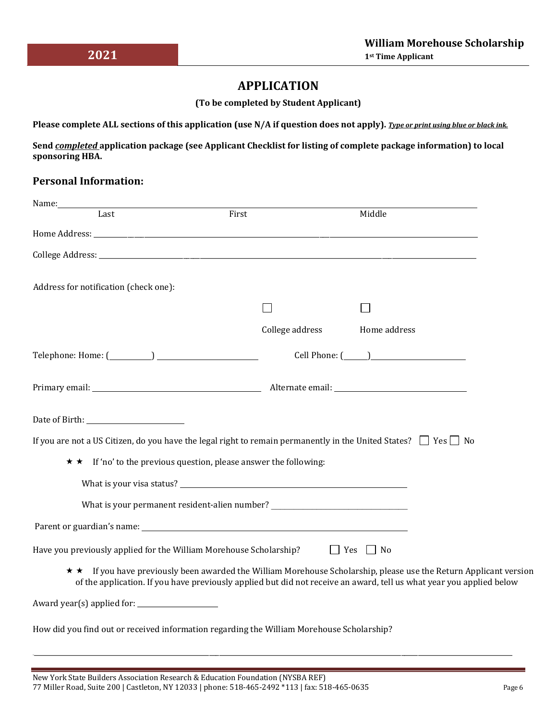## **APPLICATION**

**(To be completed by Student Applicant)**

**Please complete ALL sections of this application (use N/A if question does not apply).** *Type or print using blue or black ink.*

**Send** *completed* **application package (see Applicant Checklist for listing of complete package information) to local sponsoring HBA.**

## **Personal Information:**

| Name:                                                                                     |                                                                              |                                                                                                                                                                                                                                          |
|-------------------------------------------------------------------------------------------|------------------------------------------------------------------------------|------------------------------------------------------------------------------------------------------------------------------------------------------------------------------------------------------------------------------------------|
| Last                                                                                      | First                                                                        | Middle                                                                                                                                                                                                                                   |
|                                                                                           |                                                                              |                                                                                                                                                                                                                                          |
|                                                                                           |                                                                              |                                                                                                                                                                                                                                          |
| Address for notification (check one):                                                     |                                                                              |                                                                                                                                                                                                                                          |
|                                                                                           |                                                                              |                                                                                                                                                                                                                                          |
|                                                                                           | College address                                                              | Home address                                                                                                                                                                                                                             |
|                                                                                           |                                                                              |                                                                                                                                                                                                                                          |
|                                                                                           |                                                                              |                                                                                                                                                                                                                                          |
|                                                                                           |                                                                              |                                                                                                                                                                                                                                          |
|                                                                                           |                                                                              | If you are not a US Citizen, do you have the legal right to remain permanently in the United States? $\Box$ Yes $\Box$ No                                                                                                                |
|                                                                                           | $\star \star$ If 'no' to the previous question, please answer the following: |                                                                                                                                                                                                                                          |
|                                                                                           |                                                                              |                                                                                                                                                                                                                                          |
|                                                                                           |                                                                              |                                                                                                                                                                                                                                          |
|                                                                                           |                                                                              |                                                                                                                                                                                                                                          |
| Have you previously applied for the William Morehouse Scholarship? $\Box$ Yes $\Box$ No   |                                                                              |                                                                                                                                                                                                                                          |
|                                                                                           |                                                                              | ★ If you have previously been awarded the William Morehouse Scholarship, please use the Return Applicant version<br>of the application. If you have previously applied but did not receive an award, tell us what year you applied below |
|                                                                                           |                                                                              |                                                                                                                                                                                                                                          |
| How did you find out or received information regarding the William Morehouse Scholarship? |                                                                              |                                                                                                                                                                                                                                          |

\_\_\_\_\_\_\_\_\_\_\_\_\_\_\_\_\_\_\_\_\_\_\_\_\_\_\_\_\_\_\_\_\_\_\_\_\_\_\_\_\_\_\_\_\_\_\_\_\_\_\_\_\_\_\_\_\_\_\_\_\_\_\_\_\_\_\_\_\_\_\_\_\_\_\_\_\_\_\_\_\_\_\_\_\_\_\_\_\_\_\_\_\_\_\_\_\_\_\_\_\_\_\_\_\_\_\_\_\_\_\_\_\_\_\_\_\_\_\_\_\_\_\_\_\_\_\_\_\_\_\_\_\_\_\_\_\_\_\_\_\_\_\_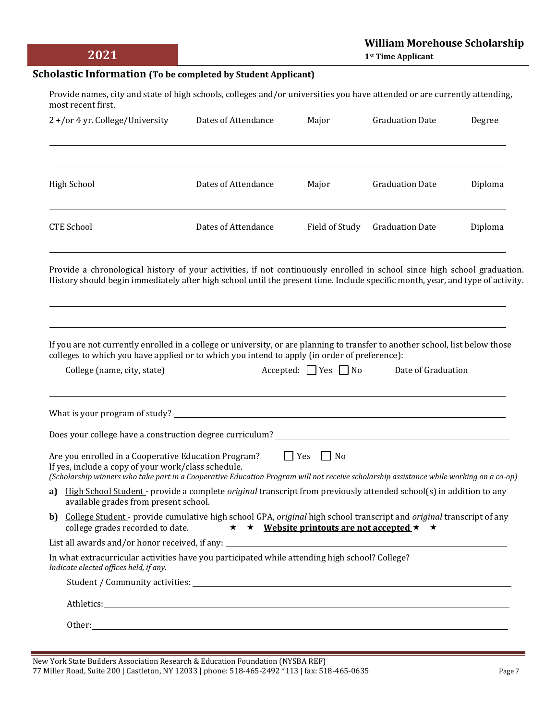#### **Scholastic Information (To be completed by Student Applicant)**

Provide names, city and state of high schools, colleges and/or universities you have attended or are currently attending, most recent first.

| 2+/or 4 yr. College/University | Dates of Attendance | Major          | <b>Graduation Date</b> | Degree  |
|--------------------------------|---------------------|----------------|------------------------|---------|
|                                |                     |                |                        |         |
| High School                    | Dates of Attendance | Major          | <b>Graduation Date</b> | Diploma |
| <b>CTE School</b>              | Dates of Attendance | Field of Study | <b>Graduation Date</b> | Diploma |

Provide a chronological history of your activities, if not continuously enrolled in school since high school graduation. History should begin immediately after high school until the present time. Include specific month, year, and type of activity.

If you are not currently enrolled in a college or university, or are planning to transfer to another school, list below those colleges to which you have applied or to which you intend to apply (in order of preference):

| College (name, city, state)                                                                                                                                                                                                                                                 | $Accepted:$ $Yes$ No | Date of Graduation |
|-----------------------------------------------------------------------------------------------------------------------------------------------------------------------------------------------------------------------------------------------------------------------------|----------------------|--------------------|
|                                                                                                                                                                                                                                                                             |                      |                    |
|                                                                                                                                                                                                                                                                             |                      |                    |
| Are you enrolled in a Cooperative Education Program? $\Box$ Yes $\Box$ No<br>If yes, include a copy of your work/class schedule.<br>(Scholarship winners who take part in a Cooperative Education Program will not receive scholarship assistance while working on a co-op) |                      |                    |
| a) High School Student - provide a complete <i>original</i> transcript from previously attended school(s) in addition to any<br>available grades from present school.                                                                                                       |                      |                    |
| b) College Student - provide cumulative high school GPA, original high school transcript and original transcript of any<br>college grades recorded to date. $\star \star \text{ Website}$ printouts are not accepted $\star \star$                                          |                      |                    |
|                                                                                                                                                                                                                                                                             |                      |                    |
| In what extracurricular activities have you participated while attending high school? College?<br>Indicate elected offices held, if any.                                                                                                                                    |                      |                    |
|                                                                                                                                                                                                                                                                             |                      |                    |
|                                                                                                                                                                                                                                                                             |                      |                    |
| Other: and the contract of the contract of the contract of the contract of the contract of the contract of the contract of the contract of the contract of the contract of the contract of the contract of the contract of the                                              |                      |                    |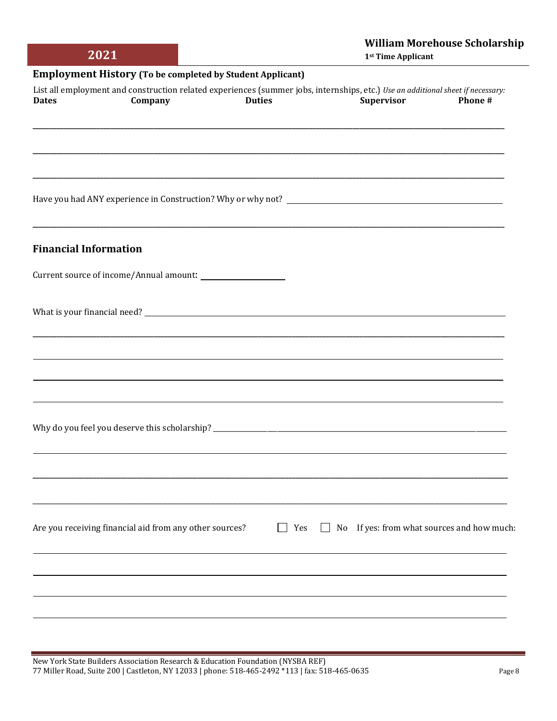|              | 2021                                                             |               | <b>William Morehouse Scholarship</b><br>1 <sup>st</sup> Time Applicant                                                                               |         |  |  |
|--------------|------------------------------------------------------------------|---------------|------------------------------------------------------------------------------------------------------------------------------------------------------|---------|--|--|
|              | <b>Employment History (To be completed by Student Applicant)</b> |               |                                                                                                                                                      |         |  |  |
| <b>Dates</b> | Company                                                          | <b>Duties</b> | List all employment and construction related experiences (summer jobs, internships, etc.) Use an additional sheet if necessary:<br><b>Supervisor</b> | Phone # |  |  |
|              |                                                                  |               |                                                                                                                                                      |         |  |  |
|              |                                                                  |               |                                                                                                                                                      |         |  |  |
|              |                                                                  |               |                                                                                                                                                      |         |  |  |
|              |                                                                  |               |                                                                                                                                                      |         |  |  |

Have you had ANY experience in Construction? Why or why not? \_\_\_\_\_\_\_\_\_\_\_\_\_\_\_\_\_\_\_\_

#### **Financial Information**

Current source of income/Annual amount: \_\_\_\_\_\_\_\_\_\_\_\_\_\_\_

What is your financial need?

**\_\_\_\_\_\_\_\_\_\_\_\_\_\_\_\_\_\_\_\_\_\_\_\_\_\_\_\_\_\_\_\_\_\_\_\_\_\_\_\_\_\_\_\_\_\_\_\_\_\_\_\_\_\_\_\_\_\_\_\_\_\_\_\_\_\_\_\_\_\_\_\_\_\_\_\_\_\_\_\_\_\_\_\_\_\_\_\_\_\_\_\_\_\_\_\_\_\_\_\_\_\_\_\_\_\_\_\_\_\_\_\_\_\_\_\_\_\_\_\_\_\_\_\_\_\_\_\_\_\_\_\_\_\_\_\_\_\_\_\_\_\_\_\_\_\_\_\_\_\_\_\_\_\_\_\_\_\_\_\_\_\_\_\_\_\_\_\_\_\_\_\_\_\_\_\_**

**\_\_\_\_\_\_\_\_\_\_\_\_\_\_\_\_\_\_\_\_\_\_\_\_\_\_\_\_\_\_\_\_\_\_\_\_\_\_\_\_\_\_\_\_\_\_\_\_\_\_\_\_\_\_\_\_\_\_\_\_\_\_\_\_\_\_\_\_\_\_\_\_\_\_\_\_\_\_\_\_\_\_\_\_\_\_\_\_\_\_\_\_\_\_\_\_\_\_\_\_\_\_\_\_\_\_\_\_\_\_\_\_\_\_\_\_\_\_\_\_\_\_\_\_\_\_\_\_\_\_\_\_\_\_\_\_\_\_\_\_**

**\_\_\_\_\_\_\_\_\_\_\_\_\_\_\_\_\_\_\_\_\_\_\_\_\_\_\_\_\_\_\_\_\_\_\_\_\_\_\_\_\_\_\_\_\_\_\_\_\_\_\_\_\_\_\_\_\_\_\_\_\_\_\_\_\_\_\_\_\_\_\_\_\_\_\_\_\_\_\_\_\_\_\_\_\_\_\_\_\_\_\_\_\_\_\_\_\_\_\_\_\_\_\_\_\_\_\_\_\_\_\_\_\_\_\_\_\_\_\_\_\_\_\_\_\_\_\_\_\_\_\_\_\_\_\_\_\_\_\_\_**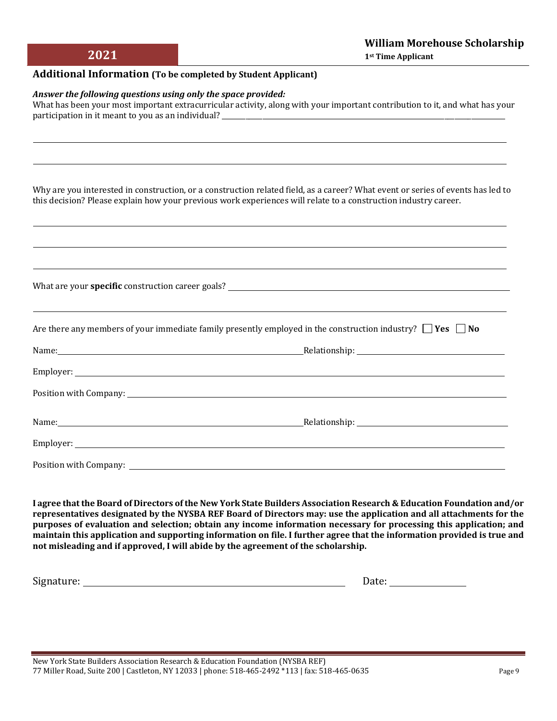#### **Additional Information (To be completed by Student Applicant)**

#### *Answer the following questions using only the space provided:*

What has been your most important extracurricular activity, along with your important contribution to it, and what has your participation in it meant to you as an individual?

Why are you interested in construction, or a construction related field, as a career? What event or series of events has led to this decision? Please explain how your previous work experiences will relate to a construction industry career.

| Are there any members of your immediate family presently employed in the construction industry? $\Box$ Yes $\Box$ No |  |
|----------------------------------------------------------------------------------------------------------------------|--|
|                                                                                                                      |  |
|                                                                                                                      |  |
|                                                                                                                      |  |
|                                                                                                                      |  |
|                                                                                                                      |  |
|                                                                                                                      |  |

**I agree that the Board of Directors of the New York State Builders Association Research & Education Foundation and/or representatives designated by the NYSBA REF Board of Directors may: use the application and all attachments for the purposes of evaluation and selection; obtain any income information necessary for processing this application; and maintain this application and supporting information on file. I further agree that the information provided is true and not misleading and if approved, I will abide by the agreement of the scholarship.**

Signature: Date: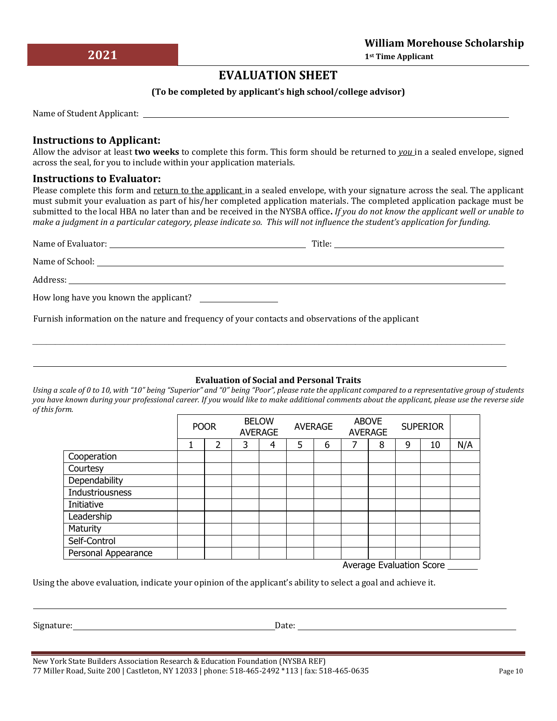# **EVALUATION SHEET**

#### **(To be completed by applicant's high school/college advisor)**

Name of Student Applicant:

### **Instructions to Applicant:**

Allow the advisor at least **two weeks** to complete this form. This form should be returned to *you* in a sealed envelope, signed across the seal, for you to include within your application materials.

#### **Instructions to Evaluator:**

Please complete this form and return to the applicant in a sealed envelope, with your signature across the seal. The applicant must submit your evaluation as part of his/her completed application materials. The completed application package must be submitted to the local HBA no later than and be received in the NYSBA office**.** *If you do not know the applicant well or unable to make a judgment in a particular category, please indicate so. This will not influence the student's application for funding.*

| Name of Evaluator: Name of Evaluator:  | $\begin{tabular}{c} Title: \hspace{2em} \textcolor{red}{\textbf{ \textbf{[1] \textbf{[1] \textbf{[1] \textbf{[1] \textbf{[1] \textbf{[1] \textbf{[1] \textbf{[1] \textbf{[1] \textbf{[1] \textbf{[1] \textbf{[1] \textbf{[1] \textbf{[1] \textbf{[1] \textbf{[1] \textbf{[1] \textbf{[1] \textbf{[1] \textbf{[1] \textbf{[1] \textbf{[1] \textbf{[1] \textbf{[1] \textbf{[1] \textbf{[1] \textbf{[1] \textbf$ |
|----------------------------------------|---------------------------------------------------------------------------------------------------------------------------------------------------------------------------------------------------------------------------------------------------------------------------------------------------------------------------------------------------------------------------------------------------------------|
|                                        |                                                                                                                                                                                                                                                                                                                                                                                                               |
|                                        |                                                                                                                                                                                                                                                                                                                                                                                                               |
| How long have you known the applicant? |                                                                                                                                                                                                                                                                                                                                                                                                               |

\_\_\_\_\_\_\_\_\_\_\_\_\_\_\_\_\_\_\_\_\_\_\_\_\_\_\_\_\_\_\_\_\_\_\_\_\_\_\_\_\_\_\_\_\_\_\_\_\_\_\_\_\_\_\_\_\_\_\_\_\_\_\_\_\_\_\_\_\_\_\_\_\_\_\_\_\_\_\_\_\_\_\_\_\_\_\_\_\_\_\_\_\_\_\_\_\_\_\_\_\_\_\_\_

Furnish information on the nature and frequency of your contacts and observations of the applicant

#### **Evaluation of Social and Personal Traits**

*Using a scale of 0 to 10, with "10" being "Superior" and "0" being "Poor", please rate the applicant compared to a representative group of students you have known during your professional career. If you would like to make additional comments about the applicant, please use the reverse side of this form.*

|                     | <b>POOR</b> |   | <b>BELOW</b><br><b>AVERAGE</b> |   | <b>AVERAGE</b> |   | <b>ABOVE</b><br><b>AVERAGE</b> |   | <b>SUPERIOR</b> |    |     |
|---------------------|-------------|---|--------------------------------|---|----------------|---|--------------------------------|---|-----------------|----|-----|
|                     | 1           | 2 | 3                              | 4 | 5              | 6 |                                | 8 | 9               | 10 | N/A |
| Cooperation         |             |   |                                |   |                |   |                                |   |                 |    |     |
| Courtesy            |             |   |                                |   |                |   |                                |   |                 |    |     |
| Dependability       |             |   |                                |   |                |   |                                |   |                 |    |     |
| Industriousness     |             |   |                                |   |                |   |                                |   |                 |    |     |
| Initiative          |             |   |                                |   |                |   |                                |   |                 |    |     |
| Leadership          |             |   |                                |   |                |   |                                |   |                 |    |     |
| Maturity            |             |   |                                |   |                |   |                                |   |                 |    |     |
| Self-Control        |             |   |                                |   |                |   |                                |   |                 |    |     |
| Personal Appearance |             |   |                                |   |                |   |                                |   |                 |    |     |

Average Evaluation Score

Using the above evaluation, indicate your opinion of the applicant's ability to select a goal and achieve it.

Signature: Date:

New York State Builders Association Research & Education Foundation (NYSBA REF) 77 Miller Road, Suite 200 | Castleton, NY 12033 | phone: 518-465-2492 \*113 | fax: 518-465-0635 Page 10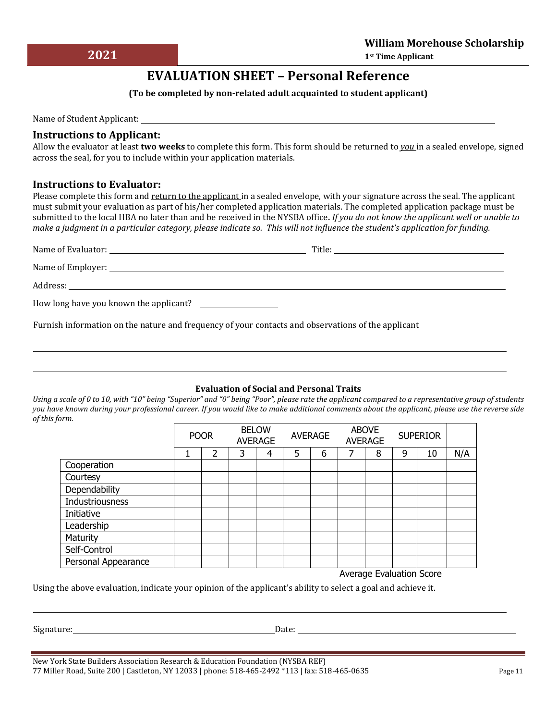# **EVALUATION SHEET – Personal Reference**

#### **(To be completed by non‐related adult acquainted to student applicant)**

Name of Student Applicant: Name of Student Applicant:

#### **Instructions to Applicant:**

**2021**

Allow the evaluator at least **two weeks** to complete this form. This form should be returned to *you* in a sealed envelope, signed across the seal, for you to include within your application materials.

#### **Instructions to Evaluator:**

Please complete this form and return to the applicant in a sealed envelope, with your signature across the seal. The applicant must submit your evaluation as part of his/her completed application materials. The completed application package must be submitted to the local HBA no later than and be received in the NYSBA office**.** *If you do not know the applicant well or unable to make a judgment in a particular category, please indicate so. This will not influence the student's application for funding.*

Furnish information on the nature and frequency of your contacts and observations of the applicant

#### **Evaluation of Social and Personal Traits**

*Using a scale of 0 to 10, with "10" being "Superior" and "0" being "Poor", please rate the applicant compared to a representative group of students you have known during your professional career. If you would like to make additional comments about the applicant, please use the reverse side of this form.*

|                        | <b>POOR</b> |   | <b>BELOW</b><br><b>AVERAGE</b> |   | <b>AVERAGE</b> |   | <b>ABOVE</b><br><b>AVERAGE</b> |   | <b>SUPERIOR</b> |    |     |
|------------------------|-------------|---|--------------------------------|---|----------------|---|--------------------------------|---|-----------------|----|-----|
|                        |             | 2 | 3                              | 4 | 5              | 6 |                                | 8 | 9               | 10 | N/A |
| Cooperation            |             |   |                                |   |                |   |                                |   |                 |    |     |
| Courtesy               |             |   |                                |   |                |   |                                |   |                 |    |     |
| Dependability          |             |   |                                |   |                |   |                                |   |                 |    |     |
| <b>Industriousness</b> |             |   |                                |   |                |   |                                |   |                 |    |     |
| Initiative             |             |   |                                |   |                |   |                                |   |                 |    |     |
| Leadership             |             |   |                                |   |                |   |                                |   |                 |    |     |
| Maturity               |             |   |                                |   |                |   |                                |   |                 |    |     |
| Self-Control           |             |   |                                |   |                |   |                                |   |                 |    |     |
| Personal Appearance    |             |   |                                |   |                |   |                                |   |                 |    |     |

Average Evaluation Score

Using the above evaluation, indicate your opinion of the applicant's ability to select a goal and achieve it.

Signature: Date: Date: Date: Date: Date: Date: Date: Date: Date: Date: Date: Date: Date: Date: Date: Date: Date: Date: Date: Date: Date: Date: Date: Date: Date: Date: Date: Date: Date: Date: Date: Date: Date: Date: Date: D

New York State Builders Association Research & Education Foundation (NYSBA REF) 77 Miller Road, Suite 200 | Castleton, NY 12033 | phone: 518-465-2492 \*113 | fax: 518-465-0635 Page 11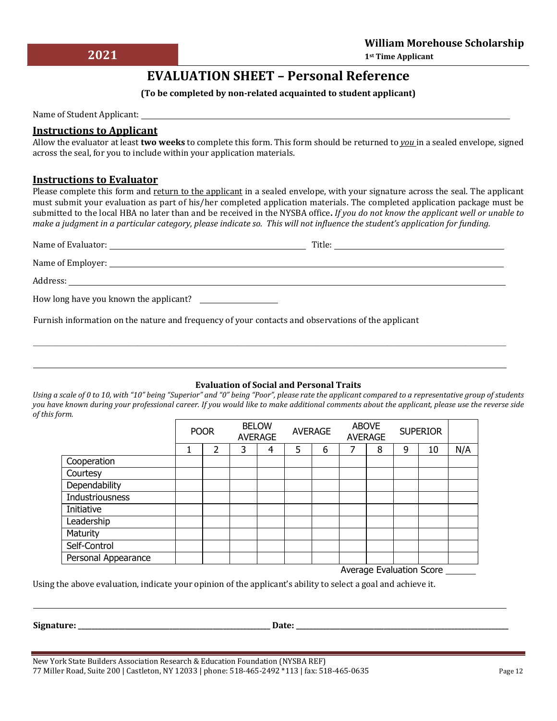# **EVALUATION SHEET – Personal Reference**

#### **(To be completed by non‐related acquainted to student applicant)**

Name of Student Applicant:

### **Instructions to Applicant**

Allow the evaluator at least **two weeks** to complete this form. This form should be returned to *you* in a sealed envelope, signed across the seal, for you to include within your application materials.

#### **Instructions to Evaluator**

Please complete this form and return to the applicant in a sealed envelope, with your signature across the seal. The applicant must submit your evaluation as part of his/her completed application materials. The completed application package must be submitted to the local HBA no later than and be received in the NYSBA office**.** *If you do not know the applicant well or unable to make a judgment in a particular category, please indicate so. This will not influence the student's application for funding.*

|                                        | Title: |
|----------------------------------------|--------|
|                                        |        |
|                                        |        |
| How long have you known the applicant? |        |

 $\mathcal{L}_\mathcal{L} = \mathcal{L}_\mathcal{L} = \mathcal{L}_\mathcal{L} = \mathcal{L}_\mathcal{L} = \mathcal{L}_\mathcal{L} = \mathcal{L}_\mathcal{L} = \mathcal{L}_\mathcal{L} = \mathcal{L}_\mathcal{L} = \mathcal{L}_\mathcal{L} = \mathcal{L}_\mathcal{L} = \mathcal{L}_\mathcal{L} = \mathcal{L}_\mathcal{L} = \mathcal{L}_\mathcal{L} = \mathcal{L}_\mathcal{L} = \mathcal{L}_\mathcal{L} = \mathcal{L}_\mathcal{L} = \mathcal{L}_\mathcal{L}$ 

Furnish information on the nature and frequency of your contacts and observations of the applicant

#### **Evaluation of Social and Personal Traits**

*Using a scale of 0 to 10, with "10" being "Superior" and "0" being "Poor", please rate the applicant compared to a representative group of students you have known during your professional career. If you would like to make additional comments about the applicant, please use the reverse side of this form.*

|                     | <b>BELOW</b><br><b>POOR</b><br><b>AVERAGE</b> |   | <b>AVERAGE</b> |   | <b>ABOVE</b><br><b>AVERAGE</b> |   | <b>SUPERIOR</b> |   |   |    |     |
|---------------------|-----------------------------------------------|---|----------------|---|--------------------------------|---|-----------------|---|---|----|-----|
|                     | 1                                             | 2 | 3              | 4 | 5                              | 6 |                 | 8 | 9 | 10 | N/A |
| Cooperation         |                                               |   |                |   |                                |   |                 |   |   |    |     |
| Courtesy            |                                               |   |                |   |                                |   |                 |   |   |    |     |
| Dependability       |                                               |   |                |   |                                |   |                 |   |   |    |     |
| Industriousness     |                                               |   |                |   |                                |   |                 |   |   |    |     |
| Initiative          |                                               |   |                |   |                                |   |                 |   |   |    |     |
| Leadership          |                                               |   |                |   |                                |   |                 |   |   |    |     |
| Maturity            |                                               |   |                |   |                                |   |                 |   |   |    |     |
| Self-Control        |                                               |   |                |   |                                |   |                 |   |   |    |     |
| Personal Appearance |                                               |   |                |   |                                |   |                 |   |   |    |     |

Average Evaluation Score

Using the above evaluation, indicate your opinion of the applicant's ability to select a goal and achieve it.

**Signature: \_\_\_\_\_\_\_\_\_\_\_\_\_\_\_\_\_\_\_\_\_\_\_\_\_\_\_\_\_\_\_\_\_\_\_\_\_\_\_\_\_\_\_\_\_\_\_\_\_\_\_\_\_\_\_\_\_ Date: \_\_\_\_\_\_\_\_\_\_\_\_\_\_\_\_\_\_\_\_\_\_\_\_\_\_\_\_\_\_\_\_\_\_\_\_\_\_\_\_\_\_\_\_\_\_\_\_\_\_\_\_\_\_\_\_\_\_\_\_\_\_\_**

New York State Builders Association Research & Education Foundation (NYSBA REF) 77 Miller Road, Suite 200 | Castleton, NY 12033 | phone: 518‐465‐2492 \*113 | fax: 518‐465‐0635 Page 12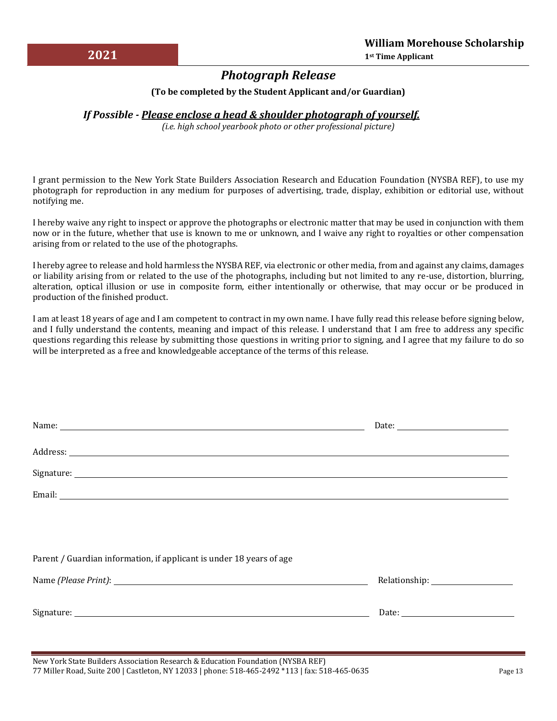# *Photograph Release*

#### **(To be completed by the Student Applicant and/or Guardian)**

### *If Possible ‐ Please enclose a head & shoulder photograph of yourself.*

*(i.e. high school yearbook photo or other professional picture)*

I grant permission to the New York State Builders Association Research and Education Foundation (NYSBA REF), to use my photograph for reproduction in any medium for purposes of advertising, trade, display, exhibition or editorial use, without notifying me.

I hereby waive any right to inspect or approve the photographs or electronic matter that may be used in conjunction with them now or in the future, whether that use is known to me or unknown, and I waive any right to royalties or other compensation arising from or related to the use of the photographs.

I hereby agree to release and hold harmless the NYSBA REF, via electronic or other media, from and against any claims, damages or liability arising from or related to the use of the photographs, including but not limited to any re‐use, distortion, blurring, alteration, optical illusion or use in composite form, either intentionally or otherwise, that may occur or be produced in production of the finished product.

I am at least 18 years of age and I am competent to contract in my own name. I have fully read this release before signing below, and I fully understand the contents, meaning and impact of this release. I understand that I am free to address any specific questions regarding this release by submitting those questions in writing prior to signing, and I agree that my failure to do so will be interpreted as a free and knowledgeable acceptance of the terms of this release.

| Parent / Guardian information, if applicant is under 18 years of age |  |  |  |  |  |
|----------------------------------------------------------------------|--|--|--|--|--|
|                                                                      |  |  |  |  |  |
|                                                                      |  |  |  |  |  |
|                                                                      |  |  |  |  |  |
|                                                                      |  |  |  |  |  |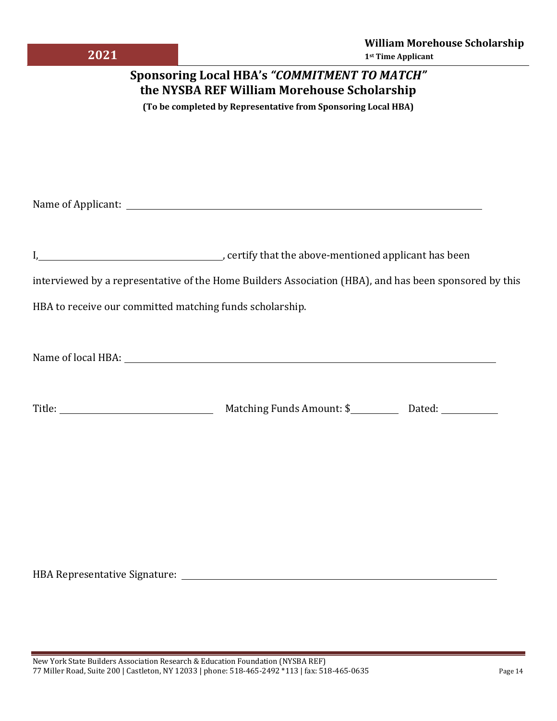| 2021                                                                                               |  |                                                                    | <b>William Morehouse Scholarship</b><br>1st Time Applicant                                             |  |  |  |  |
|----------------------------------------------------------------------------------------------------|--|--------------------------------------------------------------------|--------------------------------------------------------------------------------------------------------|--|--|--|--|
| <b>Sponsoring Local HBA's "COMMITMENT TO MATCH"</b><br>the NYSBA REF William Morehouse Scholarship |  |                                                                    |                                                                                                        |  |  |  |  |
| (To be completed by Representative from Sponsoring Local HBA)                                      |  |                                                                    |                                                                                                        |  |  |  |  |
|                                                                                                    |  |                                                                    |                                                                                                        |  |  |  |  |
|                                                                                                    |  |                                                                    |                                                                                                        |  |  |  |  |
|                                                                                                    |  |                                                                    |                                                                                                        |  |  |  |  |
|                                                                                                    |  |                                                                    |                                                                                                        |  |  |  |  |
|                                                                                                    |  | I, 1. 2008 [1] certify that the above-mentioned applicant has been |                                                                                                        |  |  |  |  |
|                                                                                                    |  |                                                                    | interviewed by a representative of the Home Builders Association (HBA), and has been sponsored by this |  |  |  |  |
| HBA to receive our committed matching funds scholarship.                                           |  |                                                                    |                                                                                                        |  |  |  |  |
|                                                                                                    |  |                                                                    |                                                                                                        |  |  |  |  |
|                                                                                                    |  |                                                                    |                                                                                                        |  |  |  |  |
|                                                                                                    |  |                                                                    |                                                                                                        |  |  |  |  |
|                                                                                                    |  |                                                                    |                                                                                                        |  |  |  |  |
|                                                                                                    |  |                                                                    |                                                                                                        |  |  |  |  |
|                                                                                                    |  |                                                                    |                                                                                                        |  |  |  |  |
|                                                                                                    |  |                                                                    |                                                                                                        |  |  |  |  |

HBA Representative Signature: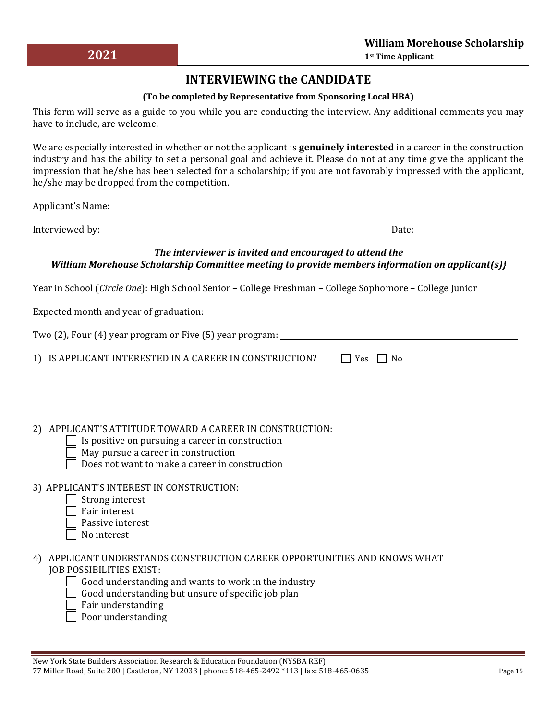## **INTERVIEWING the CANDIDATE**

#### **(To be completed by Representative from Sponsoring Local HBA)**

This form will serve as a guide to you while you are conducting the interview. Any additional comments you may have to include, are welcome.

We are especially interested in whether or not the applicant is **genuinely interested** in a career in the construction industry and has the ability to set a personal goal and achieve it. Please do not at any time give the applicant the impression that he/she has been selected for a scholarship; if you are not favorably impressed with the applicant, he/she may be dropped from the competition.

Applicant's Name:

Interviewed by: Date:

*The interviewer is invited and encouraged to attend the William Morehouse Scholarship Committee meeting to provide members information on applicant(s)}* 

Year in School (*Circle One*): High School Senior – College Freshman – College Sophomore – College Junior

Expected month and year of graduation:

Two (2), Four (4) year program or Five (5) year program:

1) IS APPLICANT INTERESTED IN A CAREER IN CONSTRUCTION?  $\Box$  Yes  $\Box$  No

2) APPLICANT'S ATTITUDE TOWARD A CAREER IN CONSTRUCTION:

- $\Box$  Is positive on pursuing a career in construction
- May pursue a career in construction
- Does not want to make a career in construction
- 3) APPLICANT'S INTEREST IN CONSTRUCTION:
	- Strong interest
	- Fair interest
	- Passive interest
	- No interest
- 4) APPLICANT UNDERSTANDS CONSTRUCTION CAREER OPPORTUNITIES AND KNOWS WHAT JOB POSSIBILITIES EXIST:
	- $\Box$  Good understanding and wants to work in the industry
	- Good understanding but unsure of specific job plan
	- Fair understanding
	- Poor understanding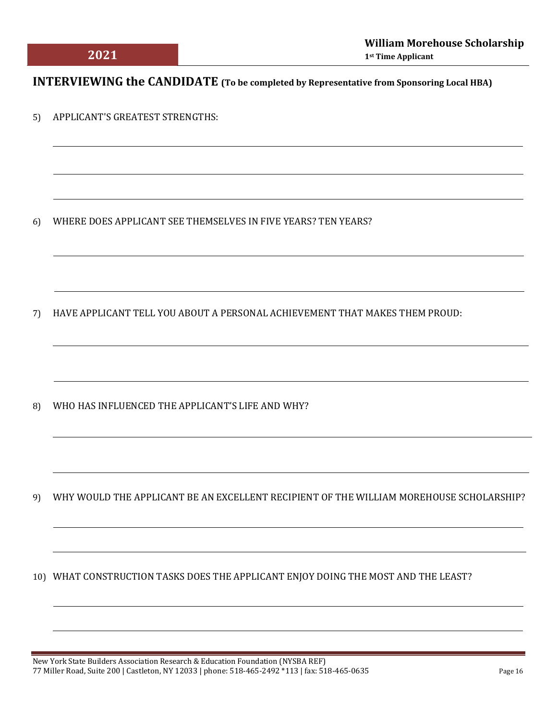# **INTERVIEWING the CANDIDATE (To be completed by Representative from Sponsoring Local HBA)**

5) APPLICANT'S GREATEST STRENGTHS:

6) WHERE DOES APPLICANT SEE THEMSELVES IN FIVE YEARS? TEN YEARS?

7) HAVE APPLICANT TELL YOU ABOUT A PERSONAL ACHIEVEMENT THAT MAKES THEM PROUD:

8) WHO HAS INFLUENCED THE APPLICANT'S LIFE AND WHY?

9) WHY WOULD THE APPLICANT BE AN EXCELLENT RECIPIENT OF THE WILLIAM MOREHOUSE SCHOLARSHIP?

10) WHAT CONSTRUCTION TASKS DOES THE APPLICANT ENJOY DOING THE MOST AND THE LEAST?

 $\overline{a}$